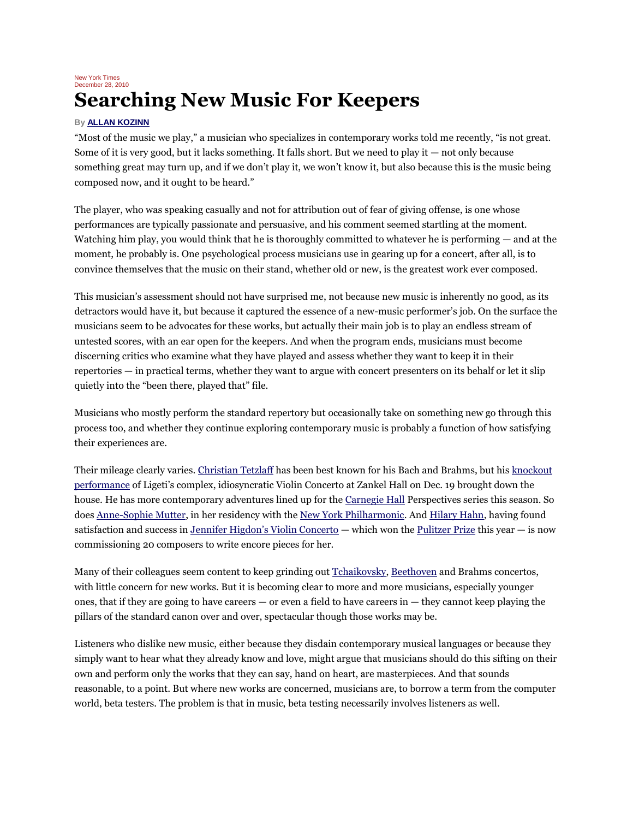## New York Times December 28, 2010 **Searching New Music For Keepers**

## **By [ALLAN KOZINN](http://topics.nytimes.com/top/reference/timestopics/people/k/allan_kozinn/index.html?inline=nyt-per)**

"Most of the music we play," a musician who specializes in contemporary works told me recently, "is not great. Some of it is very good, but it lacks something. It falls short. But we need to play it  $-$  not only because something great may turn up, and if we don't play it, we won't know it, but also because this is the music being composed now, and it ought to be heard."

The player, who was speaking casually and not for attribution out of fear of giving offense, is one whose performances are typically passionate and persuasive, and his comment seemed startling at the moment. Watching him play, you would think that he is thoroughly committed to whatever he is performing — and at the moment, he probably is. One psychological process musicians use in gearing up for a concert, after all, is to convince themselves that the music on their stand, whether old or new, is the greatest work ever composed.

This musician's assessment should not have surprised me, not because new music is inherently no good, as its detractors would have it, but because it captured the essence of a new-music performer's job. On the surface the musicians seem to be advocates for these works, but actually their main job is to play an endless stream of untested scores, with an ear open for the keepers. And when the program ends, musicians must become discerning critics who examine what they have played and assess whether they want to keep it in their repertories — in practical terms, whether they want to argue with concert presenters on its behalf or let it slip quietly into the "been there, played that" file.

Musicians who mostly perform the standard repertory but occasionally take on something new go through this process too, and whether they continue exploring contemporary music is probably a function of how satisfying their experiences are.

Their mileage clearly varies. [Christian Tetzlaff](http://topics.nytimes.com/top/reference/timestopics/people/t/christian_tetzlaff/index.html?inline=nyt-per) has been best known for his Bach and Brahms, but his [knockout](http://www.nytimes.com/2010/12/21/arts/music/21rattle.html)  [performance](http://www.nytimes.com/2010/12/21/arts/music/21rattle.html) of Ligeti's complex, idiosyncratic Violin Concerto at Zankel Hall on Dec. 19 brought down the house. He has more contemporary adventures lined up for the [Carnegie Hall](http://topics.nytimes.com/top/reference/timestopics/organizations/c/carnegie_hall/index.html?inline=nyt-org) Perspectives series this season. So does [Anne-Sophie Mutter,](http://topics.nytimes.com/top/reference/timestopics/people/m/annesophie_mutter/index.html?inline=nyt-per) in her residency with the [New York Philharmonic.](http://topics.nytimes.com/top/reference/timestopics/organizations/n/new_york_philharmonic/index.html?inline=nyt-org) And [Hilary Hahn,](http://topics.nytimes.com/top/reference/timestopics/people/h/hilary_hahn/index.html?inline=nyt-per) having found satisfaction and success in [Jennifer Higdon's Violin Concerto](http://www.nytimes.com/2010/04/22/arts/music/22higdon.html) — which won the [Pulitzer Prize](http://topics.nytimes.com/top/reference/timestopics/subjects/p/pulitzer_prizes/index.html?inline=nyt-classifier) this year — is now commissioning 20 composers to write encore pieces for her.

Many of their colleagues seem content to keep grinding out [Tchaikovsky,](http://topics.nytimes.com/top/reference/timestopics/people/t/peter_ilyich_tchaikovsky/index.html?inline=nyt-per) [Beethoven](http://topics.nytimes.com/top/reference/timestopics/people/b/ludwig_van_beethoven/index.html?inline=nyt-per) and Brahms concertos, with little concern for new works. But it is becoming clear to more and more musicians, especially younger ones, that if they are going to have careers — or even a field to have careers in — they cannot keep playing the pillars of the standard canon over and over, spectacular though those works may be.

Listeners who dislike new music, either because they disdain contemporary musical languages or because they simply want to hear what they already know and love, might argue that musicians should do this sifting on their own and perform only the works that they can say, hand on heart, are masterpieces. And that sounds reasonable, to a point. But where new works are concerned, musicians are, to borrow a term from the computer world, beta testers. The problem is that in music, beta testing necessarily involves listeners as well.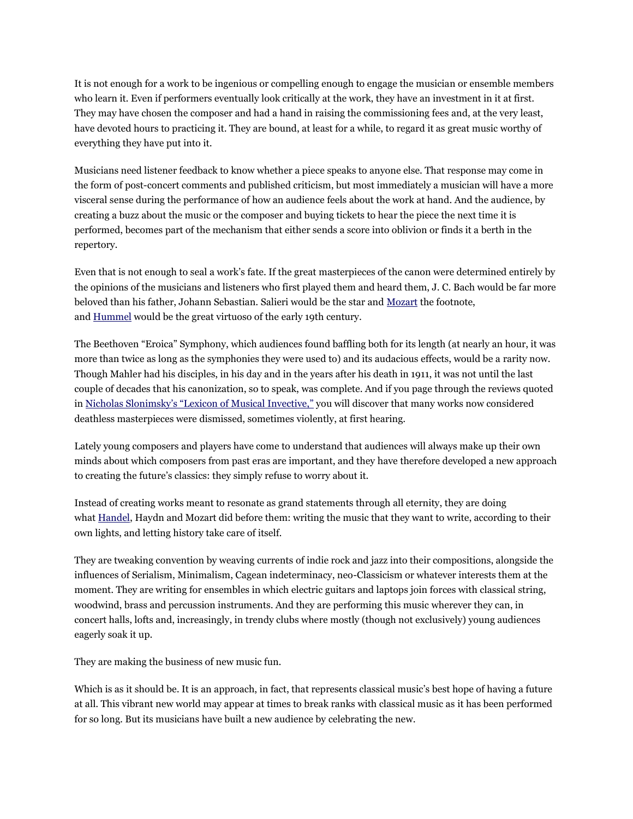It is not enough for a work to be ingenious or compelling enough to engage the musician or ensemble members who learn it. Even if performers eventually look critically at the work, they have an investment in it at first. They may have chosen the composer and had a hand in raising the commissioning fees and, at the very least, have devoted hours to practicing it. They are bound, at least for a while, to regard it as great music worthy of everything they have put into it.

Musicians need listener feedback to know whether a piece speaks to anyone else. That response may come in the form of post-concert comments and published criticism, but most immediately a musician will have a more visceral sense during the performance of how an audience feels about the work at hand. And the audience, by creating a buzz about the music or the composer and buying tickets to hear the piece the next time it is performed, becomes part of the mechanism that either sends a score into oblivion or finds it a berth in the repertory.

Even that is not enough to seal a work's fate. If the great masterpieces of the canon were determined entirely by the opinions of the musicians and listeners who first played them and heard them, J. C. Bach would be far more beloved than his father, Johann Sebastian. Salieri would be the star and [Mozart](http://topics.nytimes.com/top/reference/timestopics/people/m/wolfgang_amadeus_mozart/index.html?inline=nyt-per) the footnote, and [Hummel](http://en.wikipedia.org/wiki/Johann_Nepomuk_Hummel) would be the great virtuoso of the early 19th century.

The Beethoven "Eroica" Symphony, which audiences found baffling both for its length (at nearly an hour, it was more than twice as long as the symphonies they were used to) and its audacious effects, would be a rarity now. Though Mahler had his disciples, in his day and in the years after his death in 1911, it was not until the last couple of decades that his canonization, so to speak, was complete. And if you page through the reviews quoted in [Nicholas Slonimsky's "Lexicon of Musical Invective,"](http://www.slonimsky.net/books.html#4) you will discover that many works now considered deathless masterpieces were dismissed, sometimes violently, at first hearing.

Lately young composers and players have come to understand that audiences will always make up their own minds about which composers from past eras are important, and they have therefore developed a new approach to creating the future's classics: they simply refuse to worry about it.

Instead of creating works meant to resonate as grand statements through all eternity, they are doing what [Handel,](http://topics.nytimes.com/top/reference/timestopics/people/h/george_frederick_handel/index.html?inline=nyt-per) Haydn and Mozart did before them: writing the music that they want to write, according to their own lights, and letting history take care of itself.

They are tweaking convention by weaving currents of indie rock and jazz into their compositions, alongside the influences of Serialism, Minimalism, Cagean indeterminacy, neo-Classicism or whatever interests them at the moment. They are writing for ensembles in which electric guitars and laptops join forces with classical string, woodwind, brass and percussion instruments. And they are performing this music wherever they can, in concert halls, lofts and, increasingly, in trendy clubs where mostly (though not exclusively) young audiences eagerly soak it up.

They are making the business of new music fun.

Which is as it should be. It is an approach, in fact, that represents classical music's best hope of having a future at all. This vibrant new world may appear at times to break ranks with classical music as it has been performed for so long. But its musicians have built a new audience by celebrating the new.